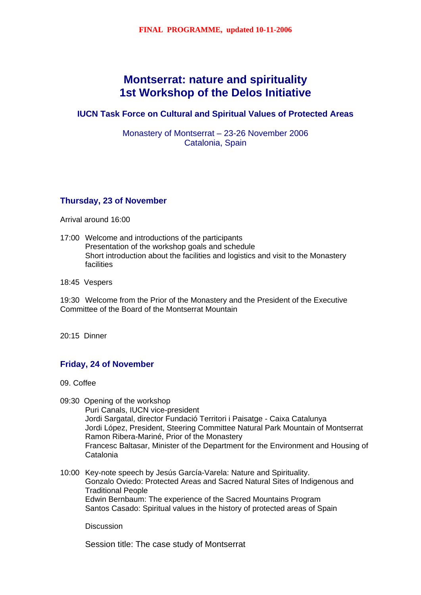# **Montserrat: nature and spirituality 1st Workshop of the Delos Initiative**

**IUCN Task Force on Cultural and Spiritual Values of Protected Areas** 

Monastery of Montserrat – 23-26 November 2006 Catalonia, Spain

# **Thursday, 23 of November**

Arrival around 16:00

- 17:00 Welcome and introductions of the participants Presentation of the workshop goals and schedule Short introduction about the facilities and logistics and visit to the Monastery facilities
- 18:45 Vespers

19:30 Welcome from the Prior of the Monastery and the President of the Executive Committee of the Board of the Montserrat Mountain

20:15 Dinner

### **Friday, 24 of November**

09. Coffee

09:30 Opening of the workshop

Puri Canals, IUCN vice-president Jordi Sargatal, director Fundació Territori i Paisatge - Caixa Catalunya Jordi López, President, Steering Committee Natural Park Mountain of Montserrat Ramon Ribera-Mariné, Prior of the Monastery Francesc Baltasar, Minister of the Department for the Environment and Housing of Catalonia

10:00 Key-note speech by Jesús García-Varela: Nature and Spirituality. Gonzalo Oviedo: Protected Areas and Sacred Natural Sites of Indigenous and Traditional People Edwin Bernbaum: The experience of the Sacred Mountains Program Santos Casado: Spiritual values in the history of protected areas of Spain

**Discussion** 

Session title: The case study of Montserrat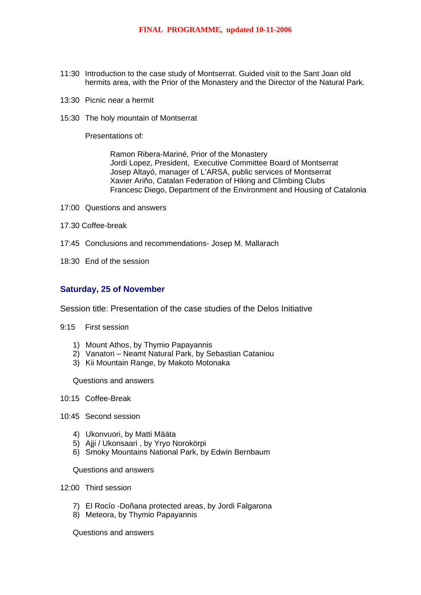- 11:30 Introduction to the case study of Montserrat. Guided visit to the Sant Joan old hermits area, with the Prior of the Monastery and the Director of the Natural Park.
- 13:30 Picnic near a hermit
- 15:30 The holy mountain of Montserrat

Presentations of:

Ramon Ribera-Mariné, Prior of the Monastery Jordi Lopez, President, Executive Committee Board of Montserrat Josep Altayó, manager of L'ARSA, public services of Montserrat Xavier Ariño, Catalan Federation of Hiking and Climbing Clubs Francesc Diego, Department of the Environment and Housing of Catalonia

- 17:00 Questions and answers
- 17.30 Coffee-break
- 17:45 Conclusions and recommendations- Josep M. Mallarach
- 18:30 End of the session

#### **Saturday, 25 of November**

Session title: Presentation of the case studies of the Delos Initiative

- 9:15 First session
	- 1) Mount Athos, by Thymio Papayannis
	- 2) Vanatori Neamt Natural Park, by Sebastian Cataniou
	- 3) Kii Mountain Range, by Makoto Motonaka

Questions and answers

- 10:15 Coffee-Break
- 10:45 Second session
	- 4) Ukonvuori, by Matti Määta
	- 5) Ajji / Ukonsaari , by Yryo Norokörpi
	- 6) Smoky Mountains National Park, by Edwin Bernbaum

Questions and answers

- 12:00 Third session
	- 7) El Rocío -Doñana protected areas, by Jordi Falgarona
	- 8) Meteora, by Thymio Papayannis

Questions and answers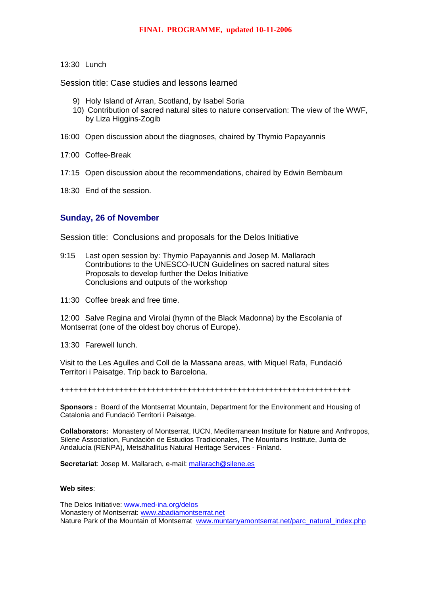#### 13:30 Lunch

Session title: Case studies and lessons learned

- 9) Holy Island of Arran, Scotland, by Isabel Soria
- 10) Contribution of sacred natural sites to nature conservation: The view of the WWF, by Liza Higgins-Zogib
- 16:00 Open discussion about the diagnoses, chaired by Thymio Papayannis
- 17:00 Coffee-Break
- 17:15 Open discussion about the recommendations, chaired by Edwin Bernbaum
- 18:30 End of the session.

## **Sunday, 26 of November**

Session title: Conclusions and proposals for the Delos Initiative

- 9:15 Last open session by: Thymio Papayannis and Josep M. Mallarach Contributions to the UNESCO-IUCN Guidelines on sacred natural sites Proposals to develop further the Delos Initiative Conclusions and outputs of the workshop
- 11:30 Coffee break and free time.

12:00 Salve Regina and Virolai (hymn of the Black Madonna) by the Escolania of Montserrat (one of the oldest boy chorus of Europe).

13:30 Farewell lunch.

Visit to the Les Agulles and Coll de la Massana areas, with Miquel Rafa, Fundació Territori i Paisatge. Trip back to Barcelona.

++++++++++++++++++++++++++++++++++++++++++++++++++++++++++++++++

**Sponsors :** Board of the Montserrat Mountain, Department for the Environment and Housing of Catalonia and Fundació Territori i Paisatge.

**Collaborators:** Monastery of Montserrat, IUCN, Mediterranean Institute for Nature and Anthropos, Silene Association, Fundación de Estudios Tradicionales, The Mountains Institute, Junta de Andalucía (RENPA), Metsähallitus Natural Heritage Services - Finland.

**Secretariat**: Josep M. Mallarach, e-mail: [mallarach@silene.es](mailto:mallarach@silene.es)

#### **Web sites**:

The Delos Initiative: [www.med-ina.org/delos](http://www.med-ina.org/delos) Monastery of Montserrat: [www.abadiamontserrat.net](http://www.abadiamontserrat.net/) Nature Park of the Mountain of Montserrat [www.muntanyamontserrat.net/parc\\_natural\\_index.php](http://www.muntanyamontserrat.net/parc_natural_index.php)